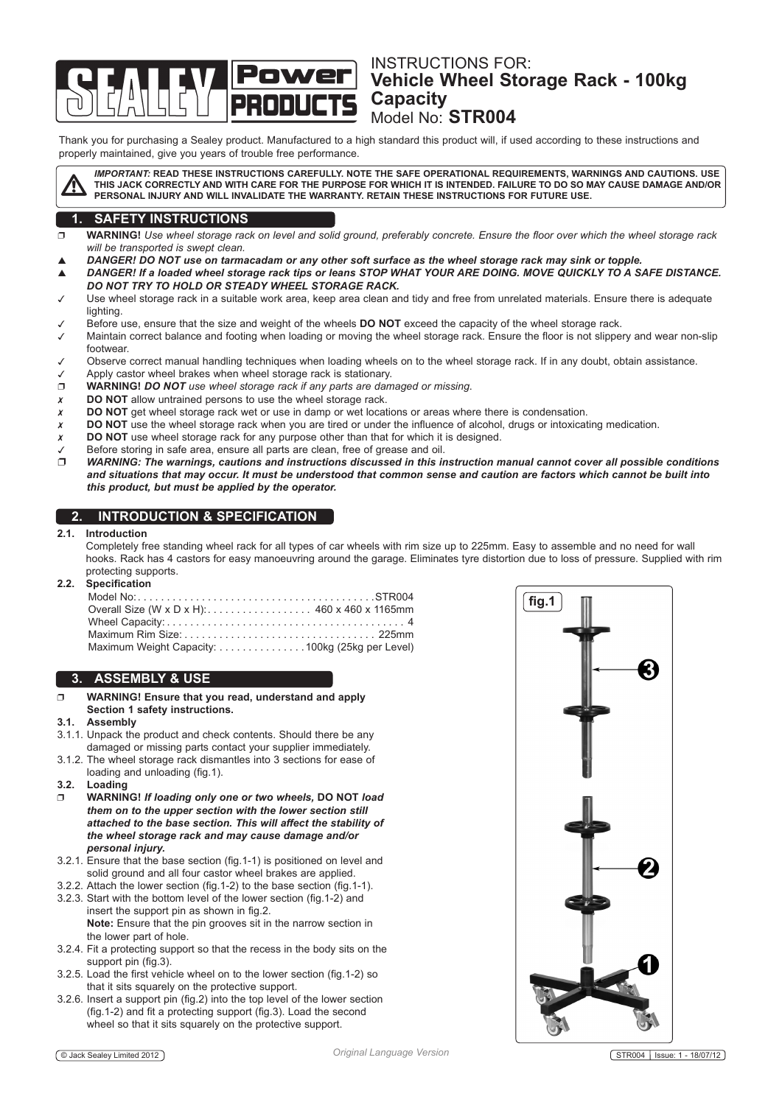# Instructions for: **Vehicle Wheel Storage Rack - 100kg Capacity** Model No: **STR004**

Thank you for purchasing a Sealey product. Manufactured to a high standard this product will, if used according to these instructions and properly maintained, give you years of trouble free performance.



*Important:* **Read these instructions carefully. Note THE SAFE OPERATIONAL REQUIREMENTS, WARNINGS AND CAUTIONS. USE THIS Jack CORRECTLY AND WITH CARE FOR THE PURPOSE FOR WHICH IT IS INTENDED. failure to do so may cause damage AND/or personal injury and will invalidate the warranty. retain THESE INSTRUCTIONS for future use.**

# **1. SAFETY INSTRUCTIONS**

- **WARNING!** *Use wheel storage rack on level and solid ground, preferably concrete. Ensure the floor over which the wheel storage rack will be transported is swept clean.*
- *DANGER! DO NOT use on tarmacadam or any other soft surface as the wheel storage rack may sink or topple.*
- *DANGER! If a loaded wheel storage rack tips or leans Stop what your are doing. MOVE QUICKLY TO A SAFE DISTANCE. DO NOT TRY TO HOLD OR STEADY WHEEL STORAGE RACK.*
- Use wheel storage rack in a suitable work area, keep area clean and tidy and free from unrelated materials. Ensure there is adequate lighting.
- Before use, ensure that the size and weight of the wheels **do not** exceed the capacity of the wheel storage rack.
- Maintain correct balance and footing when loading or moving the wheel storage rack. Ensure the floor is not slippery and wear non-slip footwear.
- Observe correct manual handling techniques when loading wheels on to the wheel storage rack. If in any doubt, obtain assistance.
- Apply castor wheel brakes when wheel storage rack is stationary.
- **WARNING!** *DO NOT use wheel storage rack if any parts are damaged or missing*.
- **DO NOT** allow untrained persons to use the wheel storage rack.
- **DO NOT** get wheel storage rack wet or use in damp or wet locations or areas where there is condensation.
- **DO NOT** use the wheel storage rack when you are tired or under the influence of alcohol, drugs or intoxicating medication.
- **DO NOT** use wheel storage rack for any purpose other than that for which it is designed.
- Before storing in safe area, ensure all parts are clean, free of grease and oil.
- *WARNING: The warnings, cautions and instructions discussed in this instruction manual cannot cover all possible conditions and situations that may occur. It must be understood that common sense and caution are factors which cannot be built into this product, but must be applied by the operator.*

## **2. introduction & SPECIFICATION**

#### **2.1. Introduction**

 Completely free standing wheel rack for all types of car wheels with rim size up to 225mm. Easy to assemble and no need for wall hooks. Rack has 4 castors for easy manoeuvring around the garage. Eliminates tyre distortion due to loss of pressure. Supplied with rim protecting supports.

### **2.2. Specification**

| Overall Size (W x D x H): 460 x 460 x 1165mm    |  |
|-------------------------------------------------|--|
|                                                 |  |
|                                                 |  |
| Maximum Weight Capacity: 100kg (25kg per Level) |  |

## **3. assembly & use**

 **WARNING! Ensure that you read, understand and apply Section 1 safety instructions.** 

#### **3.1. Assembly**

- 3.1.1. Unpack the product and check contents. Should there be any damaged or missing parts contact your supplier immediately.
- 3.1.2. The wheel storage rack dismantles into 3 sections for ease of loading and unloading (fig.1).
- **3.2. Loading**
- **WARNING!** *If loading only one or two wheels,* **DO NOT** *load them on to the upper section with the lower section still attached to the base section. This will affect the stability of the wheel storage rack and may cause damage and/or personal injury.*
- 3.2.1. Ensure that the base section (fig.1-1) is positioned on level and solid ground and all four castor wheel brakes are applied.
- 3.2.2. Attach the lower section (fig.1-2) to the base section (fig.1-1).
- 3.2.3. Start with the bottom level of the lower section (fig.1-2) and insert the support pin as shown in fig.2. **Note:** Ensure that the pin grooves sit in the narrow section in
	- the lower part of hole.
- 3.2.4. Fit a protecting support so that the recess in the body sits on the support pin (fig.3).
- 3.2.5. Load the first vehicle wheel on to the lower section (fig.1-2) so that it sits squarely on the protective support.
- 3.2.6. Insert a support pin (fig.2) into the top level of the lower section (fig.1-2) and fit a protecting support (fig.3). Load the second wheel so that it sits squarely on the protective support.